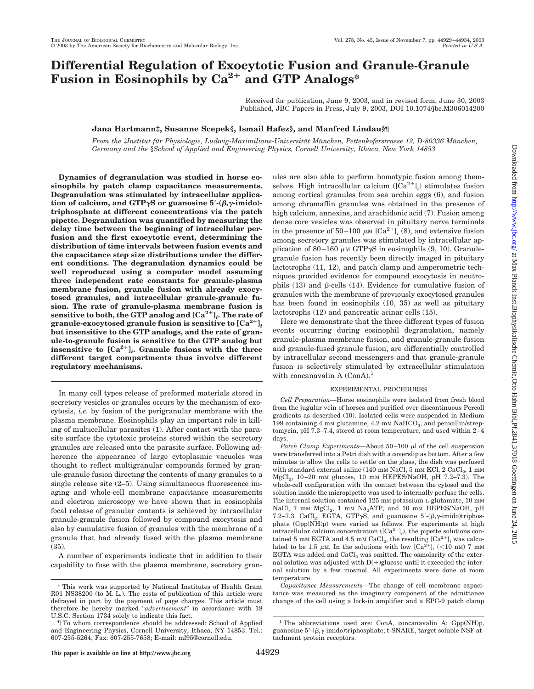# **Differential Regulation of Exocytotic Fusion and Granule-Granule Fusion in Eosinophils by Ca2 and GTP Analogs\***

Received for publication, June 9, 2003, and in revised form, June 30, 2003 Published, JBC Papers in Press, July 9, 2003, DOI 10.1074/jbc.M306014200

## **Jana Hartmann‡, Susanne Scepek§, Ismail Hafez§, and Manfred Lindau§¶**

*From the* ‡*Institut fu¨r Physiologie, Ludwig-Maximilians-Universita¨t Mu¨nchen, Pettenkoferstrasse 12, D-80336 Mu¨nchen, Germany and the* §*School of Applied and Engineering Physics, Cornell University, Ithaca, New York 14853*

**Dynamics of degranulation was studied in horse eosinophils by patch clamp capacitance measurements. Degranulation was stimulated by intracellular applica**tion of calcium, and GTP $\gamma$ S or guanosine 5'- $(\beta, \gamma$ -imido)**triphosphate at different concentrations via the patch pipette. Degranulation was quantified by measuring the delay time between the beginning of intracellular perfusion and the first exocytotic event, determining the distribution of time intervals between fusion events and the capacitance step size distributions under the different conditions. The degranulation dynamics could be well reproduced using a computer model assuming three independent rate constants for granule-plasma membrane fusion, granule fusion with already exocytosed granules, and intracellular granule-granule fusion. The rate of granule-plasma membrane fusion is sensitive to both, the GTP analog and [Ca2]***i***. The rate of granule-exocytosed granule fusion is sensitive to [Ca2]***<sup>i</sup>* **but insensitive to the GTP analogs, and the rate of granule-to-granule fusion is sensitive to the GTP analog but** insensitive to  $[Ca^{2+}]$ <sup>2</sup>*i***.** Granule fusions with the three **different target compartments thus involve different regulatory mechanisms.**

In many cell types release of preformed materials stored in secretory vesicles or granules occurs by the mechanism of exocytosis, *i.e.* by fusion of the perigranular membrane with the plasma membrane. Eosinophils play an important role in killing of multicellular parasites (1). After contact with the parasite surface the cytotoxic proteins stored within the secretory granules are released onto the parasite surface. Following adherence the appearance of large cytoplasmic vacuoles was thought to reflect multigranular compounds formed by granule-granule fusion directing the contents of many granules to a single release site (2–5). Using simultaneous fluorescence imaging and whole-cell membrane capacitance measurements and electron microscopy we have shown that in eosinophils focal release of granular contents is achieved by intracellular granule-granule fusion followed by compound exocytosis and also by cumulative fusion of granules with the membrane of a granule that had already fused with the plasma membrane  $(35)$ 

A number of experiments indicate that in addition to their capability to fuse with the plasma membrane, secretory granules are also able to perform homotypic fusion among themselves. High intracellular calcium  $([Ca^{2+}]_i)$  stimulates fusion among cortical granules from sea urchin eggs (6), and fusion among chromaffin granules was obtained in the presence of high calcium, annexins, and arachidonic acid (7). Fusion among dense core vesicles was observed in pituitary nerve terminals in the presence of 50–100  $\mu$ <sub>M</sub> [Ca<sup>2+</sup>]<sub>i</sub> (8), and extensive fusion among secretory granules was stimulated by intracellular application of 80–160  $\mu$ m GTP $\gamma$ S in eosinophils (9, 10). Granulegranule fusion has recently been directly imaged in pituitary lactotrophs (11, 12), and patch clamp and amperometric techniques provided evidence for compound exocytosis in neutrophils (13) and  $\beta$ -cells (14). Evidence for cumulative fusion of granules with the membrane of previously exocytosed granules has been found in eosinophils (10, 35) as well as pituitary lactotrophs (12) and pancreatic acinar cells (15).

Here we demonstrate that the three different types of fusion events occurring during eosinophil degranulation, namely granule-plasma membrane fusion, and granule-granule fusion and granule-fused granule fusion, are differentially controlled by intracellular second messengers and that granule-granule fusion is selectively stimulated by extracellular stimulation with concanavalin  $A (ConA).<sup>1</sup>$ 

### EXPERIMENTAL PROCEDURES

*Cell Preparation—*Horse eosinophils were isolated from fresh blood from the jugular vein of horses and purified over discontinuous Percoll gradients as described (10). Isolated cells were suspended in Medium 199 containing 4 mM glutamine,  $4.2 \text{ mm } \text{NaHCO}_3$ , and penicillin/streptomycin, pH 7.3–7.4, stored at room temperature, and used within 2–4 days.

*Patch Clamp Experiments*—About 50–100  $\mu$ l of the cell suspension were transferred into a Petri dish with a coverslip as bottom. After a few minutes to allow the cells to settle on the glass, the dish was perfused with standard external saline (140 mm NaCl, 5 mm KCl, 2  $CaCl<sub>2</sub>$ , 1 mm MgCl<sub>2</sub>, 10–20 mM glucose, 10 mM HEPES/NaOH, pH  $7.2-7.3$ ). The whole-cell configuration with the contact between the cytosol and the solution inside the micropipette was used to internally perfuse the cells. The internal solution contained 125 mm potassium-L-glutamate, 10 mm NaCl, 7 mM MgCl<sub>2</sub>, 1 mM Na<sub>2</sub>ATP, and 10 mM HEPES/NaOH, pH 7.2-7.3. CaCl<sub>2</sub>, EGTA, GTP $\gamma$ S, and guanosine 5'-( $\beta$ , $\gamma$ -imido)triphosphate (Gpp(NH)p) were varied as follows. For experiments at high intracellular calcium concentration  $([Ca<sup>2+</sup>]$ <sub>i</sub>), the pipette solutions contained 5 mm EGTA and 4.5 mm CaCl<sub>2</sub>, the resulting  $[Ca^{2+}]$ <sub>i</sub> was calculated to be 1.5  $\mu$ M. In the solutions with low [Ca<sup>2+</sup>]<sub>i</sub> (<10 nM) 7 mM EGTA was added and  $CaCl<sub>2</sub>$  was omitted. The osmolarity of the external solution was adjusted with  $D(+)$ glucose until it exceeded the internal solution by a few mosmol. All experiments were done at room temperature.

*Capacitance Measurements—*The change of cell membrane capacitance was measured as the imaginary component of the admittance change of the cell using a lock-in amplifier and a EPC-9 patch clamp

<sup>\*</sup> This work was supported by National Institutes of Health Grant R01 NS38200 (to M. $\tilde{L}$ .). The costs of publication of this article were defrayed in part by the payment of page charges. This article must therefore be hereby marked "*advertisement*" in accordance with 18 U.S.C. Section 1734 solely to indicate this fact.

<sup>¶</sup> To whom correspondence should be addressed: School of Applied and Engineering Physics, Cornell University, Ithaca, NY 14853. Tel.: 607-255-5264; Fax: 607-255-7658; E-mail: ml95@cornell.edu.

<sup>&</sup>lt;sup>1</sup> The abbreviations used are: ConA, concanavalin A;  $Gpp(NH)p$ , guanosine  $5'$ - $(\beta, \gamma$ -imido)triphosphate; t-SNARE, target soluble NSF attachment protein receptors.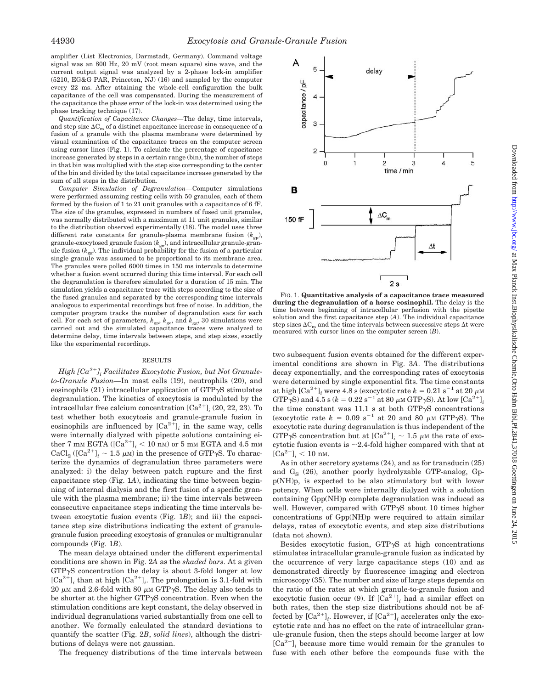amplifier (List Electronics, Darmstadt, Germany). Command voltage signal was an 800 Hz, 20 mV (root mean square) sine wave, and the current output signal was analyzed by a 2-phase lock-in amplifier (5210, EG&G PAR, Princeton, NJ) (16) and sampled by the computer every 22 ms. After attaining the whole-cell configuration the bulk capacitance of the cell was compensated. During the measurement of the capacitance the phase error of the lock-in was determined using the phase tracking technique (17).

*Quantification of Capacitance Changes—*The delay, time intervals, and step size  $\Delta C_m$  of a distinct capacitance increase in consequence of a fusion of a granule with the plasma membrane were determined by visual examination of the capacitance traces on the computer screen using cursor lines (Fig. 1). To calculate the percentage of capacitance increase generated by steps in a certain range (bin), the number of steps in that bin was multiplied with the step size corresponding to the center of the bin and divided by the total capacitance increase generated by the sum of all steps in the distribution.

*Computer Simulation of Degranulation—*Computer simulations were performed assuming resting cells with 50 granules, each of them formed by the fusion of 1 to 21 unit granules with a capacitance of 6 fF. The size of the granules, expressed in numbers of fused unit granules, was normally distributed with a maximum at 11 unit granules, similar to the distribution observed experimentally (18). The model uses three different rate constants for granule-plasma membrane fusion  $(k_{\rho p})$ , granule-exocytosed granule fusion  $(k_{\rho\rho})$ , and intracellular granule-granule fusion  $(k_{gg})$ . The individual probability for the fusion of a particular single granule was assumed to be proportional to its membrane area. The granules were polled 6000 times in 150 ms intervals to determine whether a fusion event occurred during this time interval. For each cell the degranulation is therefore simulated for a duration of 15 min. The simulation yields a capacitance trace with steps according to the size of the fused granules and separated by the corresponding time intervals analogous to experimental recordings but free of noise. In addition, the computer program tracks the number of degranulation sacs for each cell. For each set of parameters,  $k_{gp}$ ,  $k_{ge}$ , and  $k_{gg}$ , 30 simulations were carried out and the simulated capacitance traces were analyzed to determine delay, time intervals between steps, and step sizes, exactly like the experimental recordings.

#### RESULTS

*High [Ca2]i Facilitates Exocytotic Fusion, but Not Granuleto-Granule Fusion—*In mast cells (19), neutrophils (20), and eosinophils (21) intracellular application of  $GTP\gamma S$  stimulates degranulation. The kinetics of exocytosis is modulated by the intracellular free calcium concentration  $[Ca^{2+}]$ <sub>*i*</sub> (20, 22, 23). To test whether both exocytosis and granule-granule fusion in eosinophils are influenced by  $[Ca^{2+}]$ <sub>*i*</sub> in the same way, cells were internally dialyzed with pipette solutions containing either 7 mm EGTA ( $\left[Ca^{2+}\right]_i$  < 10 nm) or 5 mm EGTA and 4.5 mm CaCl<sub>2</sub> ([Ca<sup>2+</sup>]<sub>*i*</sub>  $\sim$  1.5  $\mu$ M) in the presence of GTP $\gamma$ S. To characterize the dynamics of degranulation three parameters were analyzed: i) the delay between patch rupture and the first capacitance step (Fig. 1*A*), indicating the time between beginning of internal dialysis and the first fusion of a specific granule with the plasma membrane; ii) the time intervals between consecutive capacitance steps indicating the time intervals between exocytotic fusion events (Fig. 1*B*); and iii) the capacitance step size distributions indicating the extent of granulegranule fusion preceding exocytosis of granules or multigranular compounds (Fig. 1*B*).

The mean delays obtained under the different experimental conditions are shown in Fig. 2*A* as the *shaded bars*. At a given  $GTP<sub>\gamma</sub>S$  concentration the delay is about 3-fold longer at low  $[Ca^{2+}]$ <sub>i</sub> than at high  $[Ca^{2+}]$ <sub>i</sub>. The prolongation is 3.1-fold with 20  $\mu$ m and 2.6-fold with 80  $\mu$ m GTP $\gamma$ S. The delay also tends to be shorter at the higher  $GTP\gamma S$  concentration. Even when the stimulation conditions are kept constant, the delay observed in individual degranulations varied substantially from one cell to another. We formally calculated the standard deviations to quantify the scatter (Fig. 2*B*, *solid lines*), although the distributions of delays were not gaussian.

The frequency distributions of the time intervals between



FIG. 1. **Quantitative analysis of a capacitance trace measured during the degranulation of a horse eosinophil.** The delay is the time between beginning of intracellular perfusion with the pipette solution and the first capacitance step (*A*). The individual capacitance step sizes  $\Delta C_m$  and the time intervals between successive steps  $\Delta t$  were measured with cursor lines on the computer screen (*B*).

two subsequent fusion events obtained for the different experimental conditions are shown in Fig. 3*A*. The distributions decay exponentially, and the corresponding rates of exocytosis were determined by single exponential fits. The time constants at high  $\left[\text{Ca}^{2+}\right]$ ; were 4.8 s (exocytotic rate  $k = 0.21 \text{ s}^{-1}$  at 20  $\mu$ M GTP<sub> $\gamma$ S</sub>) and 4.5 s ( $k = 0.22$  s<sup>-1</sup> at 80  $\mu$ M GTP $\gamma$ S). At low [Ca<sup>2+</sup>]<sub>*i*</sub> the time constant was 11.1 s at both GTP $\gamma$ S concentrations (exocytotic rate  $k = 0.09$  s<sup>-1</sup> at 20 and 80  $\mu$ M GTP $\gamma$ S). The exocytotic rate during degranulation is thus independent of the GTP<sub>y</sub>S concentration but at  $\left[Ca^{2+}\right]_i \sim 1.5$   $\mu$ M the rate of exocytotic fusion events is  $\sim$  2.4-fold higher compared with that at  $[Ca^{2+}]_i < 10$  nm.

As in other secretory systems (24), and as for transducin (25) and  $G_S$  (26), another poorly hydrolyzable GTP-analog, Gpp(NH)p, is expected to be also stimulatory but with lower potency. When cells were internally dialyzed with a solution containing Gpp(NH)p complete degranulation was induced as well. However, compared with GTP<sub>7</sub>S about 10 times higher concentrations of Gpp(NH)p were required to attain similar delays, rates of exocytotic events, and step size distributions (data not shown).

Besides exocytotic fusion,  $GTP\gamma S$  at high concentrations stimulates intracellular granule-granule fusion as indicated by the occurrence of very large capacitance steps (10) and as demonstrated directly by fluorescence imaging and electron microscopy (35). The number and size of large steps depends on the ratio of the rates at which granule-to-granule fusion and exocytotic fusion occur (9). If  $[Ca^{2+}]$ , had a similar effect on both rates, then the step size distributions should not be affected by  $[Ca^{2+}]_i$ . However, if  $[Ca^{2+}]_i$  accelerates only the exocytotic rate and has no effect on the rate of intracellular granule-granule fusion, then the steps should become larger at low  $[Ca^{2+}]$ , because more time would remain for the granules to fuse with each other before the compounds fuse with the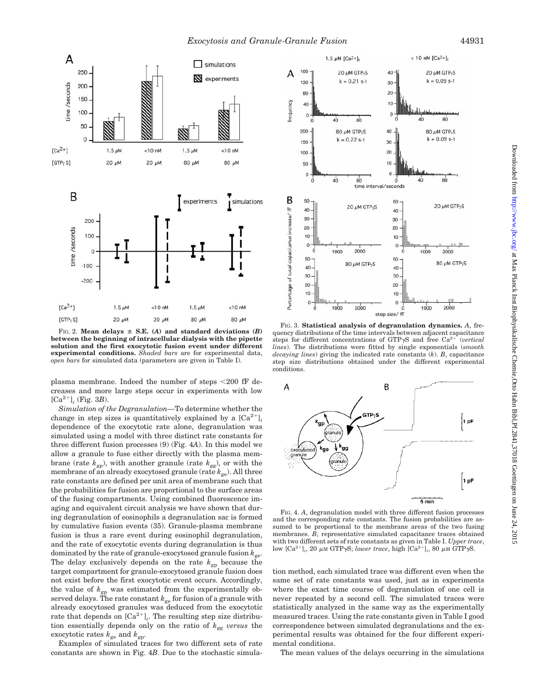

FIG. 2. **Mean delays**  $\pm$  **S.E.** (*A*) and standard deviations (*B*) **between the beginning of intracellular dialysis with the pipette solution and the first exocytotic fusion event under different experimental conditions.** *Shaded bars* are for experimental data, *open bars* for simulated data (parameters are given in Table I).

plasma membrane. Indeed the number of steps 200 fF decreases and more large steps occur in experiments with low  $[Ca^{2+}]$ <sub>*i*</sub> (Fig. 3*B*).

*Simulation of the Degranulation—*To determine whether the change in step sizes is quantitatively explained by a  $[Ca^{2+}]$ <sub>*i*</sub> dependence of the exocytotic rate alone, degranulation was simulated using a model with three distinct rate constants for three different fusion processes (9) (Fig. 4*A*). In this model we allow a granule to fuse either directly with the plasma membrane (rate *k*gp), with another granule (rate *k*gg), or with the membrane of an already exocytosed granule (rate  $k_{\infty}$ ). All three rate constants are defined per unit area of membrane such that the probabilities for fusion are proportional to the surface areas of the fusing compartments. Using combined fluorescence imaging and equivalent circuit analysis we have shown that during degranulation of eosinophils a degranulation sac is formed by cumulative fusion events (35). Granule-plasma membrane fusion is thus a rare event during eosinophil degranulation, and the rate of exocytotic events during degranulation is thus dominated by the rate of granule-exocytosed granule fusion  $k_{ge}$ . The delay exclusively depends on the rate  $k_{gp}$  because the target compartment for granule-exocytosed granule fusion does not exist before the first exocytotic event occurs. Accordingly, the value of  $k_{gp}$  was estimated from the experimentally observed delays. The rate constant  $k_{ge}$  for fusion of a granule with already exocytosed granules was deduced from the exocytotic rate that depends on  $[Ca^{2+}]$ <sub>*i*</sub>. The resulting step size distribution essentially depends only on the ratio of *k*gg *versus* the exocytotic rates  $k_{\text{ge}}$  and  $k_{\text{gp}}$ .

Examples of simulated traces for two different sets of rate constants are shown in Fig. 4*B*. Due to the stochastic simula-



FIG. 3. **Statistical analysis of degranulation dynamics.** *A*, frequency distributions of the time intervals between adjacent capacitance<br>steps for different concentrations of GTP $\gamma$ S and free  $Ca^{2+}$  (vertical) steps for different concentrations of GTP $\gamma$ S and free Ca<sup>2+</sup> (*vertical lines*). The distributions were fitted by single exponentials (*smooth decaying lines*) giving the indicated rate constants (*k*). *B*, capacitance step size distributions obtained under the different experimental conditions.



FIG. 4. *A*, degranulation model with three different fusion processes and the corresponding rate constants. The fusion probabilities are assumed to be proportional to the membrane areas of the two fusing membranes. *B*, representative simulated capacitance traces obtained with two different sets of rate constants as given in Table I. *Upper trace*, low  $\left[Ca^{2+}\right]_i$ , 20  $\mu$ M GTP $\gamma$ S; *lower trace*, high  $\left[Ca^{2+}\right]_i$ , 80  $\mu$ M GTP $\gamma$ S.

tion method, each simulated trace was different even when the same set of rate constants was used, just as in experiments where the exact time course of degranulation of one cell is never repeated by a second cell. The simulated traces were statistically analyzed in the same way as the experimentally measured traces. Using the rate constants given in Table I good correspondence between simulated degranulations and the experimental results was obtained for the four different experimental conditions.

The mean values of the delays occurring in the simulations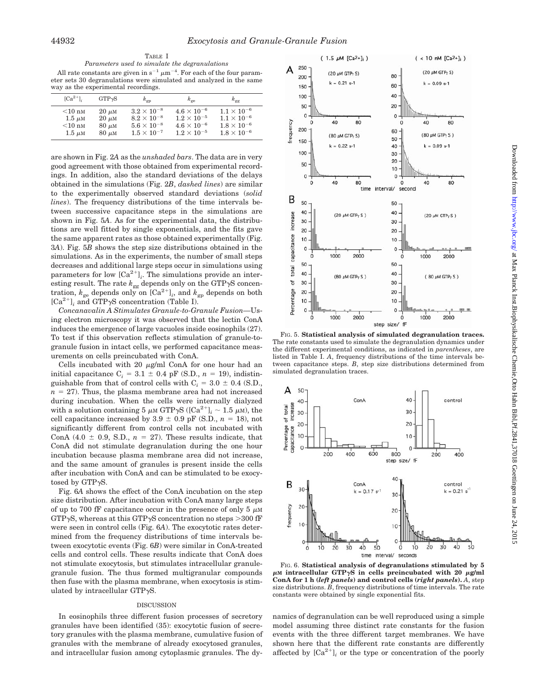TABLE I

*Parameters used to simulate the degranulations* All rate constants are given in  $s^{-1}$   $\mu$ m<sup>-4</sup>. For each of the four parameter sets 30 degranulations were simulated and analyzed in the same way as the experimental recordings.

| $[Ca^{2+}]$ | $GTP\gamma S$ | $k_{\text{gp}}$      | $k_{ge}$             | $k_{\text{ge}}$      |
|-------------|---------------|----------------------|----------------------|----------------------|
| $<$ 10 nm   | $20 \mu M$    | $3.2 \times 10^{-8}$ | $4.6 \times 10^{-6}$ | $1.1\times10^{-6}$   |
| $1.5 \mu M$ | $20 \mu M$    | $8.2 \times 10^{-8}$ | $1.2 \times 10^{-5}$ | $1.1 \times 10^{-6}$ |
| $<$ 10 nm   | $80 \mu M$    | $5.6 \times 10^{-8}$ | $4.6 \times 10^{-6}$ | $1.8 \times 10^{-6}$ |
| $1.5 \mu M$ | $80 \mu M$    | $1.5 \times 10^{-7}$ | $1.2 \times 10^{-5}$ | $1.8 \times 10^{-6}$ |

are shown in Fig. 2*A* as the *unshaded bars*. The data are in very good agreement with those obtained from experimental recordings. In addition, also the standard deviations of the delays obtained in the simulations (Fig. 2*B*, *dashed lines*) are similar to the experimentally observed standard deviations (*solid lines*). The frequency distributions of the time intervals between successive capacitance steps in the simulations are shown in Fig. 5*A*. As for the experimental data, the distributions are well fitted by single exponentials, and the fits gave the same apparent rates as those obtained experimentally (Fig. 3*A*). Fig. 5*B* shows the step size distributions obtained in the simulations. As in the experiments, the number of small steps decreases and additional large steps occur in simulations using parameters for low  $\left[\text{Ca}^{2+}\right]_i$ . The simulations provide an interesting result. The rate  $k_{\rm gg}$  depends only on the GTP $\gamma {\rm S}$  concentration,  $k_{ge}$  depends only on  $\lbrack Ca^{2+}\rbrack_i$ , and  $k_{gp}$  depends on both  $[Ca^{2+}]$ <sub>*i*</sub> and GTP $\gamma$ S concentration (Table I).

*Concanavalin A Stimulates Granule-to-Granule Fusion—*Using electron microscopy it was observed that the lectin ConA induces the emergence of large vacuoles inside eosinophils (27). To test if this observation reflects stimulation of granule-togranule fusion in intact cells, we performed capacitance measurements on cells preincubated with ConA.

Cells incubated with 20  $\mu$ g/ml ConA for one hour had an initial capacitance  $C_i = 3.1 \pm 0.4$  pF (S.D.,  $n = 19$ ), indistinguishable from that of control cells with  $C_i = 3.0 \pm 0.4$  (S.D.,  $n = 27$ ). Thus, the plasma membrane area had not increased during incubation. When the cells were internally dialyzed with a solution containing 5  $\mu$ M GTP $\gamma$ S ([Ca<sup>2+</sup>]<sub>*i*</sub> ~ 1.5  $\mu$ M), the cell capacitance increased by  $3.9 \pm 0.9$  pF (S.D.,  $n = 18$ ), not significantly different from control cells not incubated with ConA (4.0  $\pm$  0.9, S.D.,  $n = 27$ ). These results indicate, that ConA did not stimulate degranulation during the one hour incubation because plasma membrane area did not increase, and the same amount of granules is present inside the cells after incubation with ConA and can be stimulated to be exocytosed by  $GTP\gamma S$ .

Fig. 6*A* shows the effect of the ConA incubation on the step size distribution. After incubation with ConA many large steps of up to 700 fF capacitance occur in the presence of only  $5 \mu M$ GTP $\gamma$ S, whereas at this GTP $\gamma$ S concentration no steps  $>$  300 fF were seen in control cells (Fig. 6*A*). The exocytotic rates determined from the frequency distributions of time intervals between exocytotic events (Fig. 6*B*) were similar in ConA-treated cells and control cells. These results indicate that ConA does not stimulate exocytosis, but stimulates intracellular granulegranule fusion. The thus formed multigranular compounds then fuse with the plasma membrane, when exocytosis is stimulated by intracellular GTP $\gamma$ S.

#### DISCUSSION

In eosinophils three different fusion processes of secretory granules have been identified (35): exocytotic fusion of secretory granules with the plasma membrane, cumulative fusion of granules with the membrane of already exocytosed granules, and intracellular fusion among cytoplasmic granules. The dy-



FIG. 5. **Statistical analysis of simulated degranulation traces.** The rate constants used to simulate the degranulation dynamics under the different experimental conditions, as indicated in *parentheses*, are listed in Table I. *A*, frequency distributions of the time intervals between capacitance steps. *B*, step size distributions determined from simulated degranulation traces.



FIG. 6. **Statistical analysis of degranulations stimulated by 5 M intracellular GTP**-**S in cells preincubated with 20 g/ml ConA for1h(***left panels***) and control cells (***right panels***).** *A*, step size distributions. *B*, frequency distributions of time intervals. The rate constants were obtained by single exponential fits.

namics of degranulation can be well reproduced using a simple model assuming three distinct rate constants for the fusion events with the three different target membranes. We have shown here that the different rate constants are differently affected by  $[Ca^{2+}]$ *<sub>i</sub>* or the type or concentration of the poorly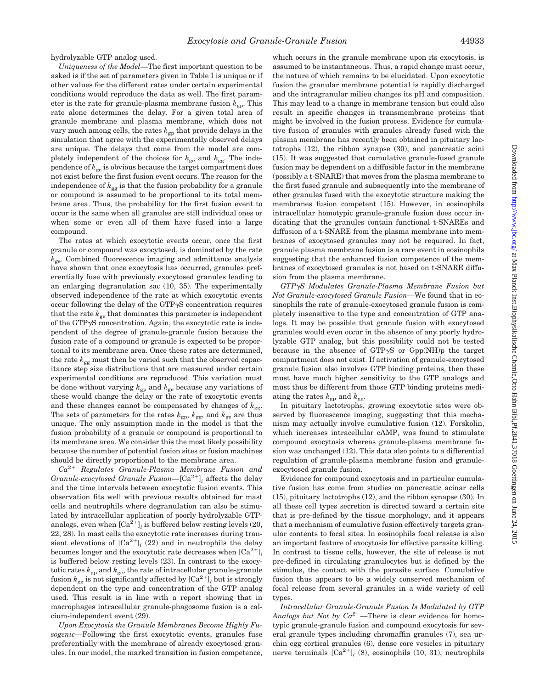hydrolyzable GTP analog used.

*Uniqueness of the Model—*The first important question to be asked is if the set of parameters given in Table I is unique or if other values for the different rates under certain experimental conditions would reproduce the data as well. The first parameter is the rate for granule-plasma membrane fusion  $k_{\rm{go}}$ . This rate alone determines the delay. For a given total area of granule membrane and plasma membrane, which does not vary much among cells, the rates  $k_{gp}$  that provide delays in the simulation that agree with the experimentally observed delays are unique. The delays that come from the model are completely independent of the choices for  $k_{\text{ge}}$  and  $k_{\text{gg}}$ . The independence of  $k_{ge}$  is obvious because the target compartment does not exist before the first fusion event occurs. The reason for the independence of  $k_{ge}$  is that the fusion probability for a granule or compound is assumed to be proportional to its total membrane area. Thus, the probability for the first fusion event to occur is the same when all granules are still individual ones or when some or even all of them have fused into a large compound.

The rates at which exocytotic events occur, once the first granule or compound was exocytosed, is dominated by the rate  $k_{ge}$ . Combined fluorescence imaging and admittance analysis have shown that once exocytosis has occurred, granules preferentially fuse with previously exocytosed granules leading to an enlarging degranulation sac (10, 35). The experimentally observed independence of the rate at which exocytotic events occur following the delay of the GTP $\gamma$ S concentration requires that the rate  $k_{ge}$  that dominates this parameter is independent of the GTP $\gamma$ S concentration. Again, the exocytotic rate is independent of the degree of granule-granule fusion because the fusion rate of a compound or granule is expected to be proportional to its membrane area. Once these rates are determined, the rate  $k_{\text{ge}}$  must then be varied such that the observed capacitance step size distributions that are measured under certain experimental conditions are reproduced. This variation must be done without varying *k*gp and *k*ge because any variations of these would change the delay or the rate of exocytotic events and these changes cannot be compensated by changes of  $k_{\text{gg}}$ . The sets of parameters for the rates  $k_{gp}$ ,  $k_{gg}$ , and  $k_{ge}$  are thus unique. The only assumption made in the model is that the fusion probability of a granule or compound is proportional to its membrane area. We consider this the most likely possibility because the number of potential fusion sites or fusion machines should be directly proportional to the membrane area.

*Ca2 Regulates Granule-Plasma Membrane Fusion and Granule-exocytosed Granule Fusion*— $[Ca^{2+}]$ <sub>*i*</sub> affects the delay and the time intervals between exocytotic fusion events. This observation fits well with previous results obtained for mast cells and neutrophils where degranulation can also be stimulated by intracellular application of poorly hydrolyzable GTPanalogs, even when  $\lbrack Ca^{2+}\rbrack _i$  is buffered below resting levels (20, 22, 28). In mast cells the exocytotic rate increases during transient elevations of  $[Ca^{2+}]$ <sub>*i*</sub> (22) and in neutrophils the delay becomes longer and the exocytotic rate decreases when  $[Ca^{2+}]$ <sub>*i*</sub> is buffered below resting levels (23). In contrast to the exocytotic rates  $k_{gp}$  and  $k_{ge}$ , the rate of intracellular granule-granule fusion  $k_{gg}$  is not significantly affected by  $[Ca^{2+}]$ <sub>*i*</sub> but is strongly dependent on the type and concentration of the GTP analog used. This result is in line with a report showing that in macrophages intracellular granule-phagosome fusion is a calcium-independent event (29).

*Upon Exocytosis the Granule Membranes Become Highly Fusogenic—*Following the first exocytotic events, granules fuse preferentially with the membrane of already exocytosed granules. In our model, the marked transition in fusion competence, which occurs in the granule membrane upon its exocytosis, is assumed to be instantaneous. Thus, a rapid change must occur, the nature of which remains to be elucidated. Upon exocytotic fusion the granular membrane potential is rapidly discharged and the intragranular milieu changes its pH and composition. This may lead to a change in membrane tension but could also result in specific changes in transmembrane proteins that might be involved in the fusion process. Evidence for cumulative fusion of granules with granules already fused with the plasma membrane has recently been obtained in pituitary lactotrophs (12), the ribbon synapse (30), and pancreatic acini (15). It was suggested that cumulative granule-fused granule fusion may be dependent on a diffusible factor in the membrane (possibly a t-SNARE) that moves from the plasma membrane to the first fused granule and subsequently into the membrane of other granules fused with the exocytotic structure making the membranes fusion competent (15). However, in eosinophils intracellular homotypic granule-granule fusion does occur indicating that the granules contain functional t-SNAREs and diffusion of a t-SNARE from the plasma membrane into membranes of exocytosed granules may not be required. In fact, granule plasma membrane fusion is a rare event in eosinophils suggesting that the enhanced fusion competence of the membranes of exocytosed granules is not based on t-SNARE diffusion from the plasma membrane.

*GTP*-*S Modulates Granule-Plasma Membrane Fusion but Not Granule-exocytosed Granule Fusion—*We found that in eosinophils the rate of granule-exocytosed granule fusion is completely insensitive to the type and concentration of GTP analogs. It may be possible that granule fusion with exocytosed granules would even occur in the absence of any poorly hydrolyzable GTP analog, but this possibility could not be tested because in the absence of  $GTP\gamma S$  or  $Gpp(NH)p$  the target compartment does not exist. If activation of granule-exocytosed granule fusion also involves GTP binding proteins, then these must have much higher sensitivity to the GTP analogs and must thus be different from those GTP binding proteins mediating the rates  $k_{gp}$  and  $k_{gg}$ .

In pituitary lactotrophs, growing exocytotic sites were observed by fluorescence imaging, suggesting that this mechanism may actually involve cumulative fusion (12). Forskolin, which increases intracellular cAMP, was found to stimulate compound exocytosis whereas granule-plasma membrane fusion was unchanged (12). This data also points to a differential regulation of granule-plasma membrane fusion and granuleexocytosed granule fusion.

Evidence for compound exocytosis and in particular cumulative fusion has come from studies on pancreatic acinar cells (15), pituitary lactotrophs (12), and the ribbon synapse (30). In all these cell types secretion is directed toward a certain site that is pre-defined by the tissue morphology, and it appears that a mechanism of cumulative fusion effectively targets granular contents to focal sites. In eosinophils focal release is also an important feature of exocytosis for effective parasite killing. In contrast to tissue cells, however, the site of release is not pre-defined in circulating granulocytes but is defined by the stimulus, the contact with the parasite surface. Cumulative fusion thus appears to be a widely conserved mechanism of focal release from several granules in a wide variety of cell types.

*Intracellular Granule-Granule Fusion Is Modulated by GTP Analogs but Not by*  $Ca^{2+}$ *—There is clear evidence for homo*typic granule-granule fusion and compound exocytosis for several granule types including chromaffin granules (7), sea urchin egg cortical granules (6), dense core vesicles in pituitary nerve terminals  $[Ca^{2+}]$ , (8), eosinophils (10, 31), neutrophils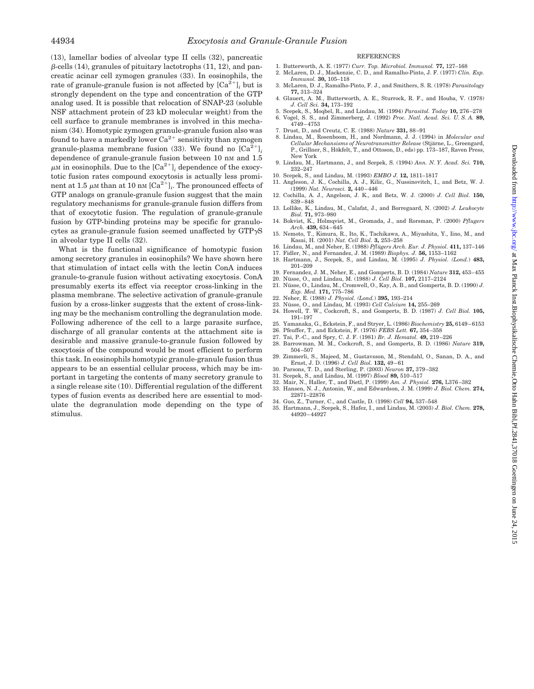(13), lamellar bodies of alveolar type II cells (32), pancreatic  $\beta$ -cells (14), granules of pituitary lactotrophs (11, 12), and pancreatic acinar cell zymogen granules (33). In eosinophils, the rate of granule-granule fusion is not affected by  $[Ca^{2+}]$ <sub>*i*</sub> but is strongly dependent on the type and concentration of the GTP analog used. It is possible that relocation of SNAP-23 (soluble NSF attachment protein of 23 kD molecular weight) from the cell surface to granule membranes is involved in this mechanism (34). Homotypic zymogen granule-granule fusion also was found to have a markedly lower  $Ca^{2+}$  sensitivity than zymogen granule-plasma membrane fusion (33). We found no  $[\text{Ca}^{2+}]$ <sub>i</sub> dependence of granule-granule fusion between 10 nm and 1.5  $\mu$ M in eosinophils. Due to the  $\left[Ca^{2+}\right]_i$  dependence of the exocytotic fusion rates compound exocytosis is actually less prominent at 1.5  $\mu$ m than at 10 nm [Ca $^{2+}\vert_i$ . The pronounced effects of GTP analogs on granule-granule fusion suggest that the main regulatory mechanisms for granule-granule fusion differs from that of exocytotic fusion. The regulation of granule-granule fusion by GTP-binding proteins may be specific for granulocytes as granule-granule fusion seemed unaffected by  $GTP\gamma S$ in alveolar type II cells (32).

What is the functional significance of homotypic fusion among secretory granules in eosinophils? We have shown here that stimulation of intact cells with the lectin ConA induces granule-to-granule fusion without activating exocytosis. ConA presumably exerts its effect via receptor cross-linking in the plasma membrane. The selective activation of granule-granule fusion by a cross-linker suggests that the extent of cross-linking may be the mechanism controlling the degranulation mode. Following adherence of the cell to a large parasite surface, discharge of all granular contents at the attachment site is desirable and massive granule-to-granule fusion followed by exocytosis of the compound would be most efficient to perform this task. In eosinophils homotypic granule-granule fusion thus appears to be an essential cellular process, which may be important in targeting the contents of many secretory granule to a single release site (10). Differential regulation of the different types of fusion events as described here are essential to modulate the degranulation mode depending on the type of stimulus.

- REFERENCES
- 1. Butterworth, A. E. (1977) *Curr. Top. Microbiol. Immunol.* **77,** 127–168
- 2. McLaren, D. J., Mackenzie, C. D., and Ramalho-Pinto, J. F. (1977) *Clin. Exp.*
- *Immunol.* **30,** 105–118 3. McLaren, D. J., Ramalho-Pinto, F. J., and Smithers, S. R. (1978) *Parasitology* **77,** 313–324
- 4. Glauert, A. M., Butterworth, A. E., Sturrock, R. F., and Houba, V. (1978) *J. Cell Sci.* **34,** 173–192
- 5. Scepek, S., Moqbel, R., and Lindau, M. (1994) *Parasitol. Today* **10,** 276–278 6. Vogel, S. S., and Zimmerberg, J. (1992) *Proc. Natl. Acad. Sci. U. S. A.* **89,**  $4749 - 4753$
- 7. Drust, D., and Creutz, C. E. (1988) *Nature* **331,** 88–91
- 8. Lindau, M., Rosenboom, H., and Nordmann, J. J. (1994) in *Molecular and Cellular Mechansisms of Neurotransmitter Release* (Stjärne, L., Greengard, P., Grillner, S., Hökfelt, T., and Ottoson, D., eds) pp. 173–187, Raven Press, New York
- 9. Lindau, M., Hartmann, J., and Scepek, S. (1994) *Ann. N. Y. Acad. Sci.* **710,** 232–247
- 10. Scepek, S., and Lindau, M. (1993) *EMBO J.* **12,** 1811–1817
- 11. Angleson, J. K., Cochilla, A. J., Kilic, G., Nussinovitch, I., and Betz, W. J. (1999) *Nat. Neurosci.* **2,** 440–446
- 12. Cochilla, A. J., Angelson, J. K., and Betz, W. J. (2000) *J. Cell Biol.* **150,** 839–848
- 13. Lollike, K., Lindau, M., Calafat, J., and Borregaard, N. (2002) *J. Leukocyte Biol.* **71,** 973–980
- 14. Bokvist, K., Holmqvist, M., Gromada, J., and Rorsman, P. (2000) *Pflugers Arch.* **439,** 634–645
- 15. Nemoto, T., Kimura, R., Ito, K., Tachikawa, A., Miyashita, Y., Iino, M., and Kasai, H. (2001) *Nat. Cell Biol.* **3,** 253–258
- 16. Lindau, M., and Neher, E. (1988) *Pflu¨ gers Arch. Eur. J. Physiol.* **411,** 137–146
- 17. Fidler, N., and Fernandez, J. M. (1989) *Biophys. J.* **56,** 1153–1162 18. Hartmann, J., Scepek, S., and Lindau, M. (1995) *J. Physiol. (Lond.*) **483,**
- 201–209
- 19. Fernandez, J. M., Neher, E., and Gomperts, B. D. (1984) *Nature* **312,** 453–455
- 20. Nu¨ sse, O., and Lindau, M. (1988) *J. Cell Biol.* **107,** 2117–2124
- 21. Nüsse, O., Lindau, M., Cromwell, O., Kay, A. B., and Gomperts, B. D. (1990) *J. Exp. Med.* **171,** 775–786
- 22. Neher, E. (1988) *J. Physiol. (Lond.*) **395,** 193–214
- 23. Nüsse, O., and Lindau, M. (1993) *Cell Calcium* 14, 255-269
- 24. Howell, T. W., Cockcroft, S., and Gomperts, B. D. (1987) *J. Cell Biol.* **105,** 191–197
- 25. Yamanaka, G., Eckstein, F., and Stryer, L. (1986) *Biochemistry* **25,** 6149–6153
- 26. Pfeuffer, T., and Eckstein, F. (1976) *FEBS Lett.* **67,** 354–358
- 27. Tai, P.-C., and Spry, C. J. F. (1981) *Br. J. Hematol.* **49,** 219–226
- 28. Barrowman, M. M., Cockcroft, S., and Gomperts, B. D. (1986) *Nature* **319,** 504–507
- 29. Zimmerli, S., Majeed, M., Gustavsson, M., Stendahl, O., Sanan, D. A., and Ernst, J. D. (1996) *J. Cell Biol.* **132,** 49–61
- 30. Parsons, T. D., and Sterling, P. (2003) *Neuron* **37,** 379–382
- 31. Scepek, S., and Lindau, M. (1997) *Blood* **89,** 510–517
- 32. Mair, N., Haller, T., and Dietl, P. (1999) *Am. J. Physiol.* **276,** L376–382 33. Hansen, N. J., Antonin, W., and Edwardson, J. M. (1999) *J. Biol. Chem.* **274,** 22871–22876
- 34. Guo, Z., Turner, C., and Castle, D. (1998) *Cell* **94,** 537–548
- 35. Hartmann, J., Scepek, S., Hafez, I., and Lindau, M. (2003) *J. Biol. Chem.* **278,** 44920–44927